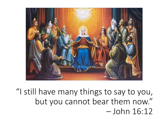

"I still have many things to say to you, but you cannot bear them now." – John 16:12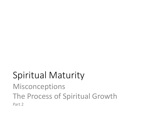# Spiritual Maturity

Misconceptions The Process of Spiritual Growth Part 2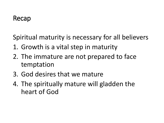Spiritual maturity is necessary for all believers

- 1. Growth is a vital step in maturity
- 2. The immature are not prepared to face temptation
- 3. God desires that we mature
- 4. The spiritually mature will gladden the heart of God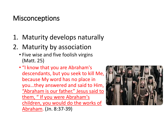#### **Misconceptions**

- 1. Maturity develops naturally
- 2. Maturity by association
	- Five wise and five foolish virgins (Matt. 25)
	- "I know that you are Abraham's descendants, but you seek to kill Me, because My word has no place in you…they answered and said to Him, "Abraham is our father." Jesus said to them, " If you were Abraham's children, you would do the works of Abraham. (Jn. 8:37-39)

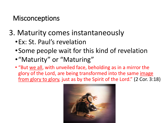**Misconceptions** 

- 3. Maturity comes instantaneously
	- •Ex: St. Paul's revelation
	- •Some people wait for this kind of revelation
	- •"Maturity" or "Maturing"
	- "But we all, with unveiled face, beholding as in a mirror the glory of the Lord, are being transformed into the same image from glory to glory, just as by the Spirit of the Lord." (2 Cor. 3:18)

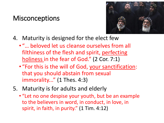#### **Misconceptions**



- 4. Maturity is designed for the elect few
	- "… beloved let us cleanse ourselves from all filthiness of the flesh and spirit, perfecting holiness in the fear of God." (2 Cor. 7:1)
	- "For this is the will of God, your sanctification: that you should abstain from sexual immorality..." (1 Thes. 4:3)
- 5. Maturity is for adults and elderly
	- "Let no one despise your youth, but be an example to the believers in word, in conduct, in love, in spirit, in faith, in purity." (1 Tim. 4:12)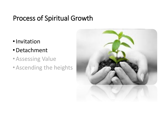#### Process of Spiritual Growth

- •Invitation
- •Detachment
- •Assessing Value
- •Ascending the heights

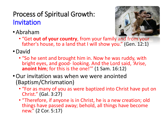### Process of Spiritual Growth: Invitation

•Abraham



- "Get **out of your country**, from your family and from your father's house, to a land that I will show you." (Gen. 12:1)
- •David
	- "So he sent and brought him in. Now he was ruddy, with bright eyes, and good- looking. And the Lord said, 'Arise, **anoint him**; for this is the one!'" (1 Sam. 16:12)
- •Our invitation was when we were anointed (Baptism/Chrismation)
	- "For as many of you as were baptized into Christ have put on Christ." (Gal. 3:27)
	- "Therefore, if anyone is in Christ, he is a new creation; old things have passed away; behold, all things have become new." (2 Cor. 5:17)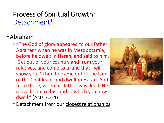### Process of Spiritual Growth: Detachment<sup>1</sup>

#### •Abraham

• "The God of glory appeared to our father Abraham when he was in Mesopotamia, before he dwelt in Haran, and said to him, 'Get out of your country and from your relatives, and come to a land that I will show you. ' Then he came out of the land of the Chaldeans and dwelt in Haran. And from there, when his father was dead, He moved him to this land in which you now dwell." (Acts 7:2-4)



• Detachment from our closest relationships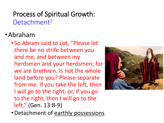#### Process of Spiritual Growth: Detachment<sup>2</sup>

#### •Abraham

• So Abram said to Lot, "Please let there be no strife between you and me, and between my herdsmen and your herdsmen; for we are brethren. Is not the whole land before you? Please separate from me. If you take the left, then I will go to the right; or, if you go to the right, then I will go to the left." (Gen. 13:8-9)

•Detachment of earthly possessions

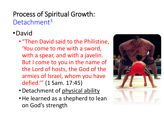# Process of Spiritual Growth: Detachment<sup>3</sup>

# •David

- "Then David said to the Philistine, 'You come to me with a sword, with a spear, and with a javelin. But I come to you in the name of the Lord of hosts, the God of the armies of Israel, whom you have defied.'" (1 Sam. 17:45)
- •Detachment of physical ability
- •He learned as a shepherd to lean on God's strength

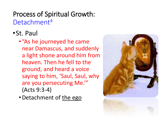# Process of Spiritual Growth: Detachment<sup>4</sup>

# •St. Paul

- "As he journeyed he came near Damascus, and suddenly a light shone around him from heaven. Then he fell to the ground, and heard a voice saying to him, 'Saul, Saul, why are you persecuting Me.'" (Acts 9:3-4)
- •Detachment of the ego